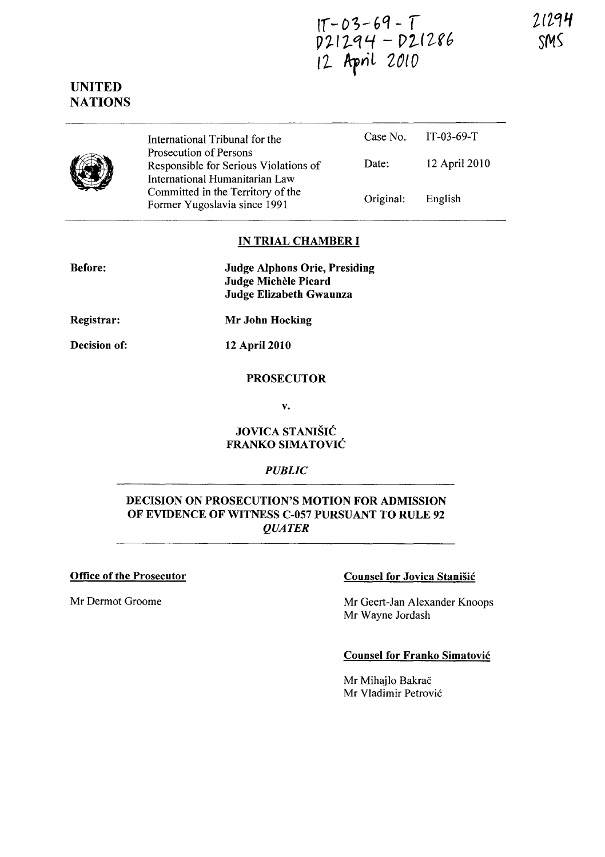21294 SWS

 $IT-03-69-T$ <br> $D21294-D21286$ 12 April 2010

# UNITED NATIONS



International Tribunal for the Prosecution of Persons Responsible for Serious Violations of International Humanitarian Law Committed in the Territory of the Former Yugoslavia since 1991 Case No. IT -03-69-T Date: 12 April 2010 Original: English

# IN TRIAL CHAMBER I

| <b>Before:</b> | <b>Judge Alphons Orie, Presiding</b> |
|----------------|--------------------------------------|
|                | Judge Michèle Picard                 |
|                | Judge Elizabeth Gwaunza              |

Registrar: Mr John Hocking

Decision of:

12 April 2010

# PROSECUTOR

v.

#### JOVICA STANISIC FRANKO SIMATOVIC

### *PUBLIC*

# DECISION ON PROSECUTION'S MOTION FOR ADMISSION OF EVIDENCE OF WITNESS C-OS7 PURSUANT TO RULE 92 *QUATER*

Office of the Prosecutor

### Mr Dermot Groome

### Counsel for Jovica Stanisic

Mr Geert-Jan Alexander Knoops Mr Wayne Jordash

### Counsel for Franko Simatovic

Mr Mihajlo Bakrač Mr Vladimir Petrovic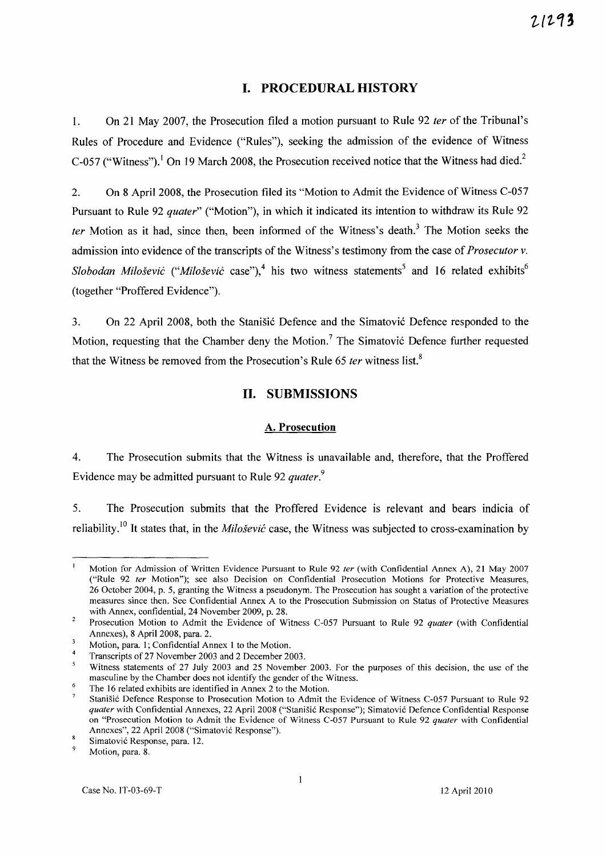# **I. PROCEDURAL HISTORY**

1. On 21 May 2007, the Prosecution filed a motion pursuant to Rule 92 *ter* of the Tribunal's Rules of Procedure and Evidence ("Rules"), seeking the admission of the evidence of Witness C-057 ("Witness").<sup>1</sup> On 19 March 2008, the Prosecution received notice that the Witness had died.<sup>2</sup>

2. On 8 April 2008, the Prosecution filed its "Motion to Admit the Evidence of Witness C-057 Pursuant to Rule 92 *quater"* ("Motion"), in which it indicated its intention to withdraw its Rule 92 *fer* Motion as it had, since then, been informed of the Witness's death.<sup>3</sup> The Motion seeks the admission into evidence of the transcripts of the Witness's testimony from the case of *Prosecutor* v. *Slobodan Milošević ("Milošević case")*,<sup>4</sup> his two witness statements<sup>5</sup> and 16 related exhibits<sup>6</sup> (together "Proffered Evidence").

3. On 22 April 2008, both the Stanisic Defence and the Simatovic Defence responded to the Motion, requesting that the Chamber deny the Motion.<sup>7</sup> The Simatović Defence further requested that the Witness be removed from the Prosecution's Rule 65 *ter* witness list.<sup>8</sup>

### **II. SUBMISSIONS**

#### A. **Prosecution**

4. The Prosecution submits that the Witness is unavailable and, therefore, that the Proffered Evidence may be admitted pursuant to Rule 92 *quater.<sup>9</sup>*

5. The Prosecution submits that the Proffered Evidence is relevant and bears indicia of reliability.<sup>10</sup> It states that, in the *Milošević* case, the Witness was subjected to cross-examination by

 $\mathbf{I}$ Motion for Admission of Written Evidence Pursuant to Rule 92 *ler* (with Confidential Annex A), 21 May 2007 ("Rule 92 *ter* Motion"); see also Decision on Confidential Prosecution Motions for Protective Measures, 26 October 2004, p. 5, granting the Witness a pseudonym. The Prosecution has sought a variation of the protective measures since then. See Confidential Annex A to the Prosecution Submission on Status of Protective Measures with Annex, confidential, 24 November 2009, p. 28.

 $\overline{2}$ Prosecution Motion to Admit the Evidence of Witness C-057 Pursuant to Rule 92 *quater* (with Confidential Annexes), 8 April 2008, para. 2.

Motion, para. I; Confidential Annex 1 to the Motion.

<sup>4</sup>  Transcripts of27 November 2003 and 2 December 2003.

 $\overline{5}$ Witness statements of 27 July 2003 and 25 November 2003. For the purposes of this decision, the use of the masculine by the Chamber does not identify the gender of the Witness. 6

The 16 related exhibits are identified in Annex 2 to the Motion.

Stanisic Defence Response to Prosecution Motion to Admit the Evidence of Witness C-057 Pursuant to Rule 92 *quater* with Confidential Annexes, 22 April 2008 ("Stanišić Response"); Simatović Defence Confidential Response on "Prosecution Motion to Admit the Evidence of Witness C-057 Pursuant to Rule 92 *quater* with Confidential Annexes", 22 April 2008 ("Simatovic Response").

<sup>8</sup> Simatovic Response, para. 12.

 $\ddot{Q}$ Motion, para. 8.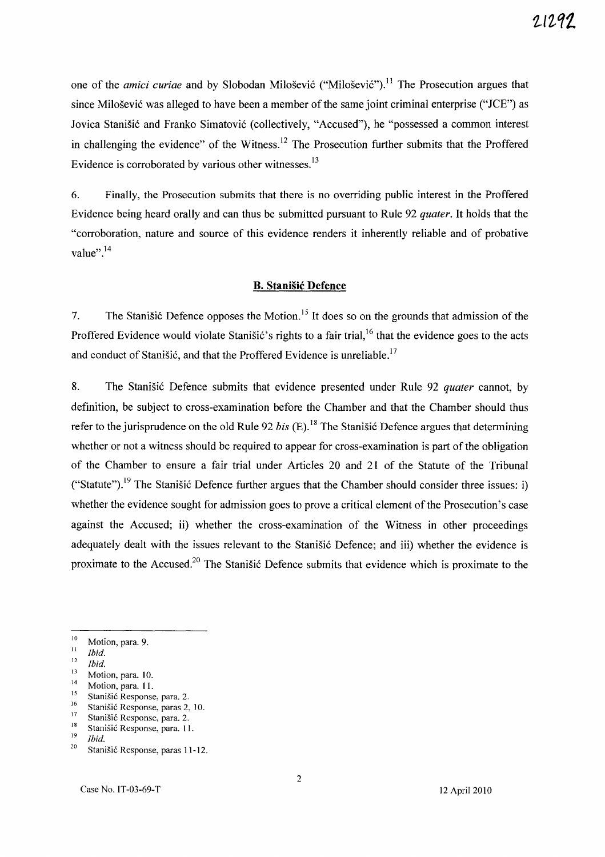one of the *amici curiae* and by Slobodan Milošević ("Milošević").<sup>11</sup> The Prosecution argues that since Milošević was alleged to have been a member of the same joint criminal enterprise *("ICE")* as Jovica Stanišić and Franko Simatović (collectively, "Accused"), he "possessed a common interest in challenging the evidence" of the Witness.<sup>12</sup> The Prosecution further submits that the Proffered Evidence is corroborated by various other witnesses.<sup>13</sup>

6. Finally, the Prosecution submits that there is no overriding public interest in the Proffered Evidence being heard orally and can thus be submitted pursuant to Rule 92 *quater.* It holds that the "corroboration, nature and source of this evidence renders it inherently reliable and of probative value". $^{14}$ 

#### **B. Stanisic Defence**

7. The Stanišić Defence opposes the Motion.<sup>15</sup> It does so on the grounds that admission of the Proffered Evidence would violate Stanisic's rights to a fair trial,<sup>16</sup> that the evidence goes to the acts and conduct of Stanišić, and that the Proffered Evidence is unreliable.<sup>17</sup>

8. The Stanisic Defence submits that evidence presented under Rule 92 *quater* cannot, by definition, be subject to cross-examination before the Chamber and that the Chamber should thus refer to the jurisprudence on the old Rule 92 *bis* (E).<sup>18</sup> The Stanišić Defence argues that determining whether or not a witness should be required to appear for cross-examination is part of the obligation of the Chamber to ensure a fair trial under Articles 20 and 21 of the Statute of the Tribunal ("Statute").<sup>19</sup> The Stanišić Defence further argues that the Chamber should consider three issues: i) whether the evidence sought for admission goes to prove a critical element of the Prosecution's case against the Accused; ii) whether the cross-examination of the Witness in other proceedings adequately dealt with the issues relevant to the Stanišić Defence; and iii) whether the evidence is proximate to the Accused.<sup>20</sup> The Stanistic Defence submits that evidence which is proximate to the

 $\frac{10}{11}$  Motion, para. 9.

 $\frac{11}{12}$  *Ibid.* 

<sup>12</sup>*Ibid.* 

 $\frac{13}{14}$  Motion, para. 10.

 $14$  Motion, para. 11.

<sup>&</sup>lt;sup>15</sup> Stanišić Response, para. 2.<br><sup>16</sup> Stanišić Bennanca, paras 2.

<sup>&</sup>lt;sup>16</sup> Stanišić Response, paras 2, 10.

<sup>&</sup>lt;sup>17</sup> Stanišić Response, para. 2.<br><sup>18</sup> Stanišić Response, para. 11

<sup>&</sup>lt;sup>18</sup> Stanišić Response, para. 11.<br><sup>19</sup> Ibid

 $\frac{19}{20}$  *Ibid.* 

Stanišić Response, paras 11-12.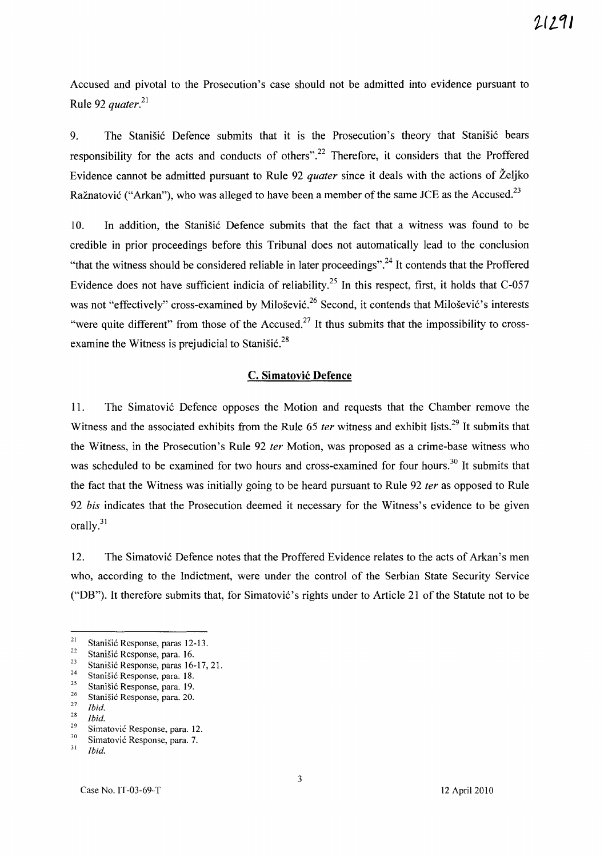Accused and pivotal to the Prosecution's case should not be admitted into evidence pursuant to Rule 92 *quater.*<sup>21</sup>

9. The Stanišić Defence submits that it is the Prosecution's theory that Stanišić bears responsibility for the acts and conducts of others".<sup>22</sup> Therefore, it considers that the Proffered Evidence cannot be admitted pursuant to Rule 92 *quater* since it deals with the actions of Zeljko Ražnatović ("Arkan"), who was alleged to have been a member of the same JCE as the Accused.<sup>23</sup>

10. In addition, the Stanisic Defence submits that the fact that a witness was found to be credible in prior proceedings before this Tribunal does not automatically lead to the conclusion "that the witness should be considered reliable in later proceedings".<sup>24</sup> It contends that the Proffered Evidence does not have sufficient indicia of reliability.<sup>25</sup> In this respect, first, it holds that C-057 was not "effectively" cross-examined by Milošević.<sup>26</sup> Second, it contends that Milošević's interests "were quite different" from those of the Accused.<sup>27</sup> It thus submits that the impossibility to crossexamine the Witness is prejudicial to Stanišić. $^{28}$ 

### c. Simatovic Defence

11. The Simatović Defence opposes the Motion and requests that the Chamber remove the Witness and the associated exhibits from the Rule 65 *ter* witness and exhibit lists.<sup>29</sup> It submits that the Witness, in the Prosecution's Rule 92 *ter* Motion, was proposed as a crime-base witness who was scheduled to be examined for two hours and cross-examined for four hours.<sup>30</sup> It submits that the fact that the Witness was initially going to be heard pursuant to Rule 92 *ter* as opposed to Rule *92 his* indicates that the Prosecution deemed it necessary for the Witness's evidence to be given orally.<sup>31</sup>

12. The Simatovi6 Defence notes that the Proffered Evidence relates to the acts of Arkan's men who, according to the Indictment, were under the control of the Serbian State Security Service ("DB"). It therefore submits that, for Simatović's rights under to Article 21 of the Statute not to be

<sup>&</sup>lt;sup>21</sup> Stanišić Response, paras 12-13.

<sup>&</sup>lt;sup>22</sup> Stanišić Response, para. 16.<br><sup>23</sup> Stanišić Response, paras. 16.

<sup>&</sup>lt;sup>23</sup> Stanišić Response, paras 16-17, 21.<br><sup>24</sup> Stanišić Response, para 18.

<sup>&</sup>lt;sup>24</sup> Stanišić Response, para. 18.

<sup>&</sup>lt;sup>25</sup> Stanišić Response, para. 19.<br><sup>26</sup> Stanišić Besponse, para. 20.

<sup>&</sup>lt;sup>26</sup> Stanišić Response, para. 20.

*<sup>27</sup> Ibid.* 

*<sup>&</sup>lt;i>Zbid.* 

<sup>&</sup>lt;sup>29</sup> Simatović Response, para. 12.

 $\frac{30}{31}$  Simatović Response, para. 7.

<sup>31</sup>*Ibid.*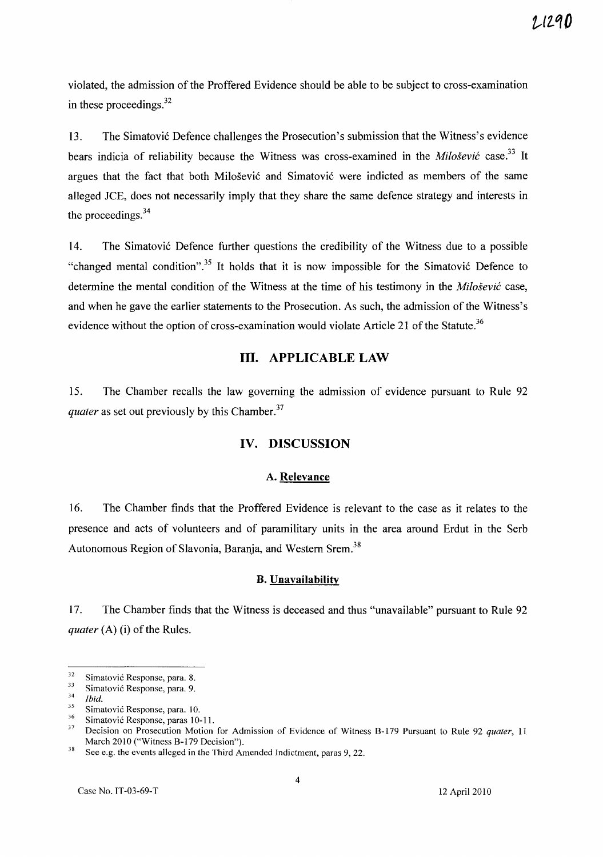violated, the admission of the Proffered Evidence should be able to be subject to cross-examination in these proceedings. $32$ 

13. The Simatović Defence challenges the Prosecution's submission that the Witness's evidence bears indicia of reliability because the Witness was cross-examined in the *Milosevic* case. 33 It argues that the fact that both Milošević and Simatović were indicted as members of the same alleged JCE, does not necessarily imply that they share the same defence strategy and interests in the proceedings.<sup>34</sup>

14. The Simatović Defence further questions the credibility of the Witness due to a possible "changed mental condition".<sup>35</sup> It holds that it is now impossible for the Simatović Defence to determine the mental condition of the Witness at the time of his testimony in the *Milosevic* case, and when he gave the earlier statements to the Prosecution. As such, the admission of the Witness's evidence without the option of cross-examination would violate Article 21 of the Statute.<sup>36</sup>

### III. APPLICABLE LAW

15. The Chamber recalls the law governing the admission of evidence pursuant to Rule 92 *quater* as set out previously by this Chamber.<sup>37</sup>

### IV. DISCUSSION

#### A. Relevance

16. The Chamber finds that the Proffered Evidence is relevant to the case as it relates to the presence and acts of volunteers and of paramilitary units in the area around Erdut in the Serb Autonomous Region of Slavonia, Baranja, and Western Srem.<sup>38</sup>

#### B. Unavailability

17. The Chamber finds that the Witness is deceased and thus "unavailable" pursuant to Rule 92 *quater* (A) (i) of the Rules.

 $32$  Simatović Response, para. 8.<br> $33$  Simatović Besponse, para. 0.

 $\frac{33}{34}$  Simatović Response, para. 9.

 $\frac{34}{35}$  *Ibid.* 

 $\frac{35}{36}$  Simatović Response, para. 10.

 $\frac{36}{37}$  Simatović Response, paras 10-11.

<sup>37</sup> Decision on Prosecution Motion for Admission of Evidence of Witness 8-179 Pursuant to Rule 92 *quater,* <sup>11</sup> March 2010 ("Witness B-179 Decision").

<sup>&</sup>lt;sup>38</sup> See e.g. the events alleged in the Third Amended Indictment, paras 9, 22.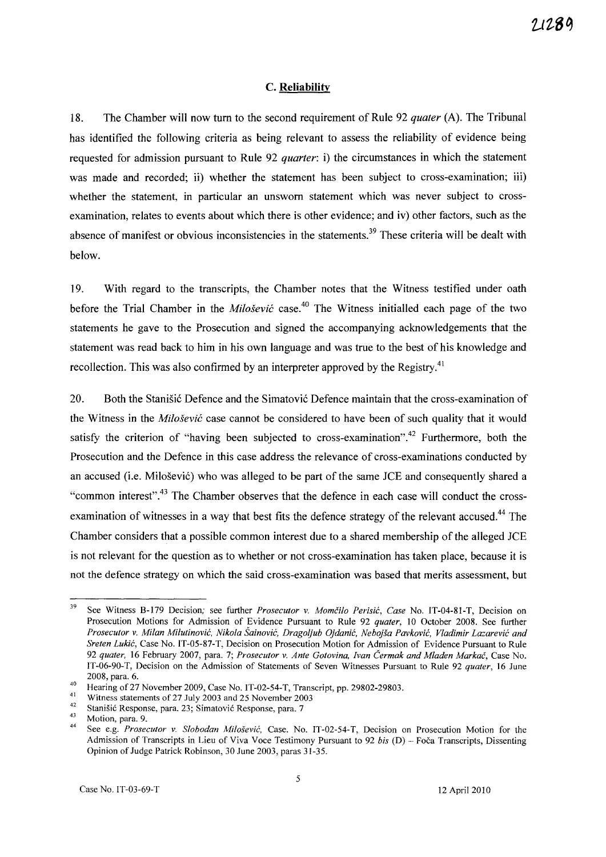#### C. **Reliability**

18. The Chamber will now tum to the second requirement of Rule 92 *quater* (A). The Tribunal has identified the following criteria as being relevant to assess the reliability of evidence being requested for admission pursuant to Rule 92 *quarter:* i) the circumstances in which the statement was made and recorded; ii) whether the statement has been subject to cross-examination; iii) whether the statement, in particular an unsworn statement which was never subject to crossexamination, relates to events about which there is other evidence; and iv) other factors, such as the absence of manifest or obvious inconsistencies in the statements.<sup>39</sup> These criteria will be dealt with below.

19. With regard to the transcripts, the Chamber notes that the Witness testified under oath before the Trial Chamber in the *Milosevic* case.40 The Witness initialled each page of the two statements he gave to the Prosecution and signed the accompanying acknowledgements that the statement was read back to him in his own language and was true to the best of his knowledge and recollection. This was also confirmed by an interpreter approved by the Registry.<sup>41</sup>

20. Both the Stanisic Defence and the Simatovic Defence maintain that the cross-examination of the Witness in the *Milosevic* case cannot be considered to have been of such quality that it would satisfy the criterion of "having been subjected to cross-examination".<sup>42</sup> Furthermore, both the Prosecution and the Defence in this case address the relevance of cross-examinations conducted by an accused (i.e. Milosevi6) who was alleged to be part of the same JCE and consequently shared a "common interest".<sup>43</sup> The Chamber observes that the defence in each case will conduct the crossexamination of witnesses in a way that best fits the defence strategy of the relevant accused.<sup>44</sup> The Chamber considers that a possible common interest due to a shared membership of the alleged JCE is not relevant for the question as to whether or not cross-examination has taken place, because it is not the defence strategy on which the said cross-examination was based that merits assessment, but

<sup>39</sup> See Witness B-179 Decision; see further *Prosecutor* v. *Momcilo Perisic, Case* No. IT-04-81-T, Decision on Prosecution Motions for Admission of Evidence Pursuant to Rule 92 *quater,* 10 October 2008. See further *Prosecutor* v. *Milan Milutinovic, Nikola Sainovic, Dragoljub Ojdanic, Nebojsa Pavkovic, Vladimir Lazarevic and Sreten Lukic,* Case No. IT-05-87-T, Decision on Prosecution Motion for Admission of Evidence Pursuant to Rule *92 quater,* 16 February 2007, para. 7; *Prosecutor* v. *Ante Gotovina, Ivan Cermak and Mladen Markac,* Case No. IT-06-90-T, Decision on the Admission of Statements of Seven Witnesses Pursuant to Rule 92 *quater,* 16 June 2008, para. 6.

<sup>&</sup>lt;sup>40</sup> Hearing of 27 November 2009, Case No. IT-02-54-T, Transcript, pp. 29802-29803.

<sup>&</sup>lt;sup>41</sup> Witness statements of 27 July 2003 and 25 November 2003

<sup>&</sup>lt;sup>42</sup> Stanišić Response, para. 23; Simatović Response, para. 7<br> $^{43}$  Mation gave 0.

<sup>43</sup> Motion, para. 9. 44 See e.g. *Prosecutor* v. *Slobodan Milosevic,* Case. No. IT-02-54-T, Decision on Prosecution Motion for the Admission of Transcripts in Lieu of Viva Voce Testimony Pursuant to 92 bis (D) - Foča Transcripts, Dissenting Opinion of Judge Patrick Robinson, 30 June 2003, paras 31-35.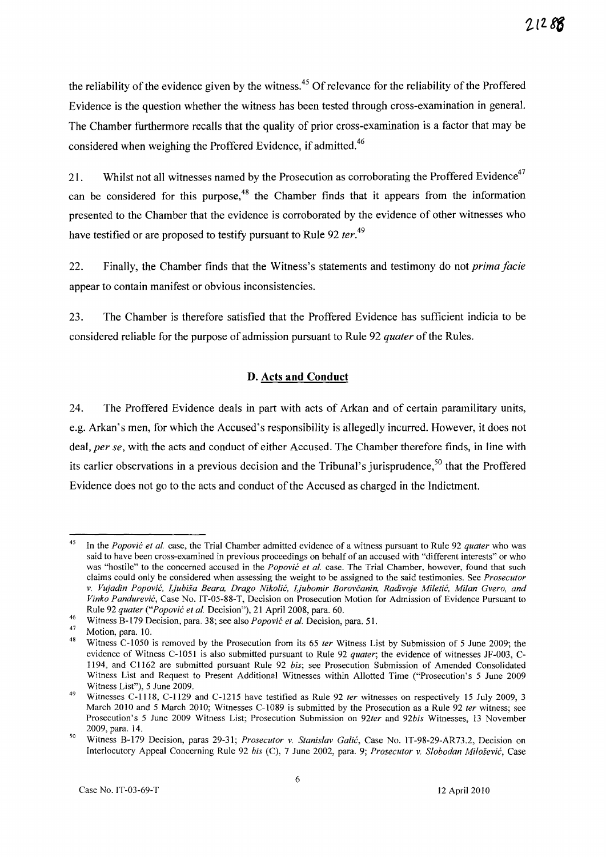the reliability of the evidence given by the witness.<sup>45</sup> Of relevance for the reliability of the Proffered Evidence is the question whether the witness has been tested through cross-examination in general. The Chamber furthermore recalls that the quality of prior cross-examination is a factor that may be considered when weighing the Proffered Evidence, if admitted.<sup>46</sup>

21. Whilst not all witnesses named by the Prosecution as corroborating the Proffered Evidence<sup>47</sup> can be considered for this purpose,<sup>48</sup> the Chamber finds that it appears from the information presented to the Chamber that the evidence is corroborated by the evidence of other witnesses who have testified or are proposed to testify pursuant to Rule 92 *ter*.<sup>49</sup>

22. Finally, the Chamber finds that the Witness's statements and testimony do not *prima facie*  appear to contain manifest or obvious inconsistencies.

23. The Chamber is therefore satisfied that the Proffered Evidence has sufficient indicia to be considered reliable for the purpose of admission pursuant to Rule 92 *quater* of the Rules.

### **D. Acts and Conduct**

24. The Proffered Evidence deals in part with acts of Arkan and of certain paramilitary units, e.g. Arkan's men, for which the Accused's responsibility is allegedly incurred. However, it does not deal, *per se,* with the acts and conduct of either Accused. The Chamber therefore finds, in line with its earlier observations in a previous decision and the Tribunal's jurisprudence,<sup>50</sup> that the Proffered Evidence does not go to the acts and conduct ofthe Accused as charged in the Indictment.

<sup>45</sup>  In the *Popovic et al.* case, the Trial Chamber admitted evidence of a witness pursuant to Rule 92 *quater* who was said to have been cross-examined in previous proceedings on behalf of an accused with "different interests" or who was "hostile" to the concerned accused in the *Popovic et al.* case. The Trial Chamber, however, found that such claims could only be considered when assessing the weight to be assigned to the said testimonies. See *Prosecutor*  v. *Vujadin Popovic, Ljubisa Beara, Drago Nikolic, Ljubomir Borovcanin, Radivoje Miletic, Milan Gvero, and Vinko Pandurevic,* Case No. IT-05-88-T, Decision on Prosecution Motion for Admission of Evidence Pursuant to Rule 92 *quater ("Popovic et at.* Decision"), 21 April 2008, para. 60.

<sup>46</sup>  Witness B-179 Decision, para. 38; see also *Popovic et at.* Decision, para. 51.

 $\frac{47}{48}$  Motion, para. 10.

Witness C-1050 is removed by the Prosecution from its 65 *ter* Witness List by Submission of 5 June 2009; the evidence of Witness C-1051 is also submitted pursuant to Rule 92 *quater;* the evidence of witnesses JF-003, C-1194, and C 1162 are submitted pursuant Rule 92 *bis;* see Prosecution Submission of Amended Consolidated Witness List and Request to Present Additional Witnesses within Allotted Time ("Prosecution's 5 June 2009 Witness List"), 5 June 2009.

<sup>49</sup>  Witnesses C-1118, C-1l29 and C-1215 have testified as Rule 92 *fer* witnesses on respectively 15 July 2009,3 March 2010 and 5 March 2010; Witnesses C-I089 is submitted by the Prosecution as a Rule 92 *ter* witness; see Prosecution's 5 June 2009 Witness List; Prosecution Submission on *92ter* and *92bis* Witnesses, 13 November 2009, para. 14.

<sup>50</sup>  Witness B-179 Decision, paras 29-31; *Prosecutor* v. *Stanislav Galic,* Case No. IT-98-29-AR73.2, Decision on Interlocutory Appeal Concerning Rule 92 *bis* (C), 7 June 2002, para. 9; *Prosecutor* v. *Siobodan Milosevic,* Case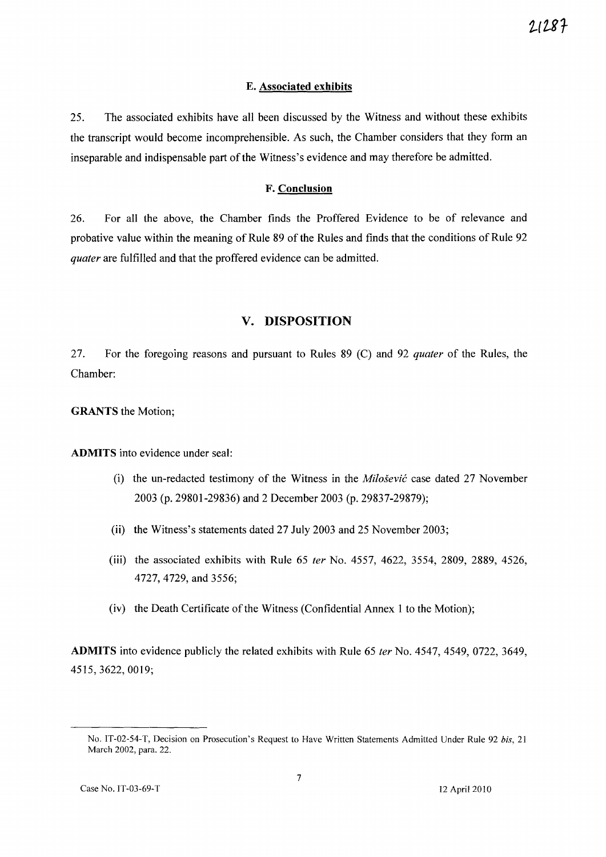#### **E. Associated exhibits**

25. The associated exhibits have all been discussed by the Witness and without these exhibits the transcript would become incomprehensible. As such, the Chamber considers that they form an inseparable and indispensable part of the Witness's evidence and may therefore be admitted.

#### **F. Conclusion**

26. For all the above, the Chamber finds the Proffered Evidence to be of relevance and probative value within the meaning of Rule 89 of the Rules and finds that the conditions of Rule 92 quater are fulfilled and that the proffered evidence can be admitted.

### **v. DISPOSITION**

27. For the foregoing reasons and pursuant to Rules 89 (C) and 92 quater of the Rules, the Chamber:

**GRANTS** the Motion;

**ADMITS** into evidence under seal:

- (i) the un-redacted testimony of the Witness in the *Milosevic* case dated 27 November 2003 (p. 29801-29836) and 2 December 2003 (p. 29837-29879);
- (ii) the Witness's statements dated 27 July 2003 and 25 November 2003;
- (iii) the associated exhibits with Rule 65 fer No. 4557, 4622, 3554, 2809, 2889, 4526, 4727,4729, and 3556;
- (iv) the Death Certificate of the Witness (Confidential Annex 1 to the Motion);

**ADMITS** into evidence publicly the related exhibits with Rule 65 fer No. 4547, 4549, 0722, 3649, 4515,3622,0019;

No. IT-02-54-T, Decision on Prosecution's Request to Have Written Statements Admitted Under Rule 92 *his, 21*  March 2002, para. 22.